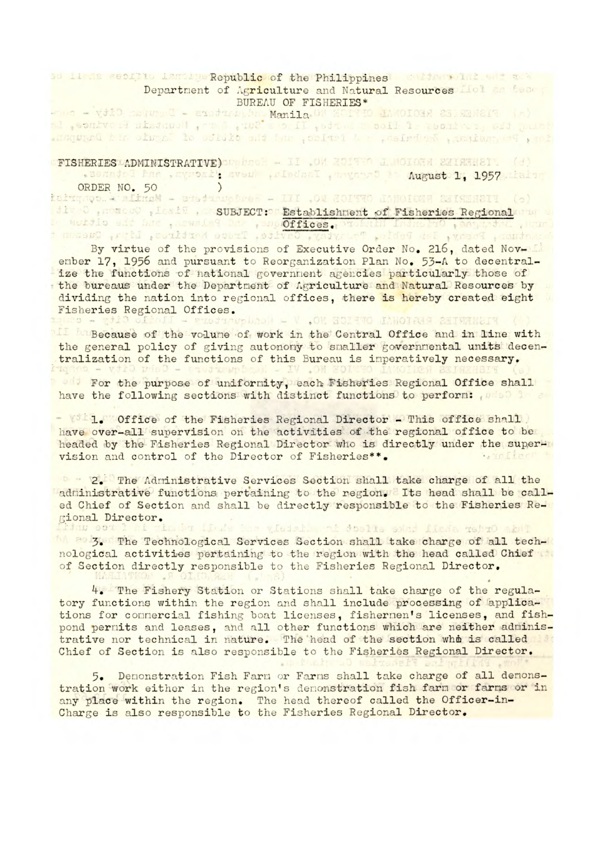## Sd 11 is secrite lancing Republic of the Philippines and the solid set and Department of Agriculture and Natural Resources IIol as team BUREAU OF FISHERIES\*

-wa - viid convert - eratraalen Manila. OW ECITO 1840IORE 25 SEMEIT (A)<br>al , sonivale history ( pro 8 , 102' = 2 II , stra = coll 1 , positive, est part disquand his office. A helbert in fortee, and the official of language at a headquarter

## **FISHERIES ADMINISTRATIVE)** MARGE - II OM ROITEA I MOIDEN 22183121. (d)

. assaded has , syroall sveul , riednal , avyourd is August 1, 1957 thain

## ORDER NO. 50 )<br>tatungo. A situal - aneticuptus: - III , OW COITTO CANOICHE EXISTENTI (e)

## SUBJECT: Establishnent of Fisheries Regional and Change of the end of the control of the conservation of the end of the citizen second of the conservation of t<br>Original preservation of the second of the cavital Truce heriting and property of the conservation of

By virtue of the provisions of Executive Order No. 216, dated Nov-Li enber 17, 1956 and pursuant to Reorganization Plan No. *53-A* to decentralize the functions of national government agencies particularly those of the bureaus under the Department of Agriculture and Natural Resources by dividing the nation into regional offices, there is hereby created eight Fisheries Regional Offices.<br>1880 - Etil offoll - Exetiophical - V .OM HOIATO INNOTAIS SIBENETY

**Because of the volume of work in the Central Office and in line with** the general policy of giving autonomy to smaller governmental units decentralization of the functions of this Bureau is imperatively necessary.

For the purpose of uniformity, each Fisheries Regional Office shall have the following sections with distinct functions to perform: which is a

-  $1.$  Office of the Fisheries Regional Director - This office shall have over-all sunervision on the activities of the regional office to be headed by the Fisheries Regional Director who is directly under the supervision and control of the Director of Fisheries\*\*. **Sand Liner** 

2. The Administrative Services Section shall take charge of all the administrative functions pertaining to the region. Its head shall be called Chief of Section and shall be directly responsible to the Fisheries Regional Director. has been gladed and doults soled flama rebrO abut

1. **Bulg. The Technological Services Section shall take charge of all tech**nological activities pertaining to the region with the head called Chief of Section directly responsible to the Fisheries Regional Director.

k. The Fishery Station or Stations shall take charge of the regulatory functions within the region and shall include processing of applications for commercial fishing boat licenses, fishermen's licenses, and fishpond permits and leases, and all other functions which are neither administrative nor technical in nature. The head of the section whe is called Chief of Section is also responsible to the Fisheries Regional Director.

5. Demonstration Fish Farm or Farms shall take charge of all demonstration work either in the region's demonstration fish farm or farms or in any place within the region. The head thereof called the Officer**-in**-Charge is also responsible to the Fisheries Regional Director.